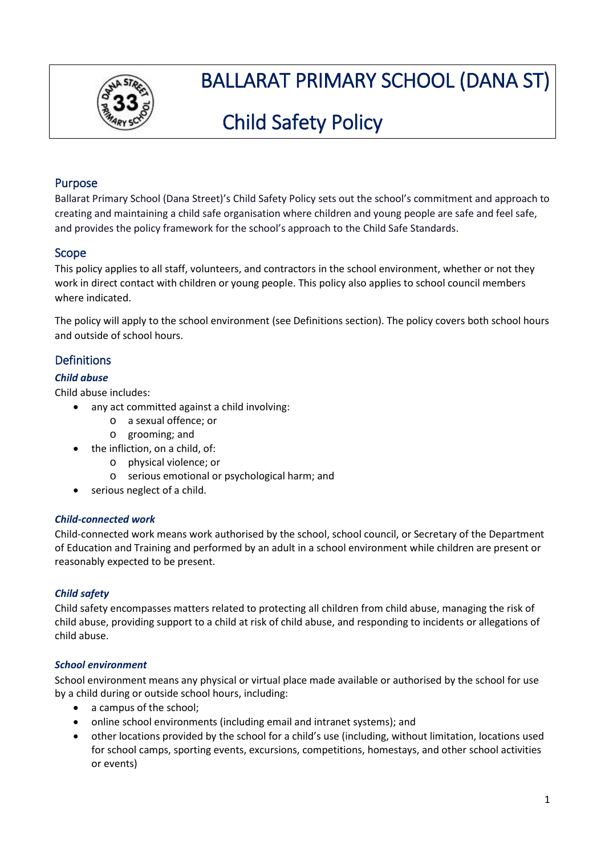

# BALLARAT PRIMARY SCHOOL (DANA ST)

# Child Safety Policy

# Purpose

Ballarat Primary School (Dana Street)'s Child Safety Policy sets out the school's commitment and approach to creating and maintaining a child safe organisation where children and young people are safe and feel safe, and provides the policy framework for the school's approach to the Child Safe Standards.

# Scope

This policy applies to all staff, volunteers, and contractors in the school environment, whether or not they work in direct contact with children or young people. This policy also applies to school council members where indicated.

The policy will apply to the school environment (see Definitions section). The policy covers both school hours and outside of school hours.

# **Definitions**

## *Child abuse*

Child abuse includes:

- any act committed against a child involving:
	- o a sexual offence; or
	- o grooming; and
	- the infliction, on a child, of:
		- o physical violence; or
		- o serious emotional or psychological harm; and
	- serious neglect of a child.

## *Child-connected work*

Child-connected work means work authorised by the school, school council, or Secretary of the Department of Education and Training and performed by an adult in a school environment while children are present or reasonably expected to be present.

## *Child safety*

Child safety encompasses matters related to protecting all children from child abuse, managing the risk of child abuse, providing support to a child at risk of child abuse, and responding to incidents or allegations of child abuse.

## *School environment*

School environment means any physical or virtual place made available or authorised by the school for use by a child during or outside school hours, including:

- a campus of the school:
- online school environments (including email and intranet systems); and
- other locations provided by the school for a child's use (including, without limitation, locations used for school camps, sporting events, excursions, competitions, homestays, and other school activities or events)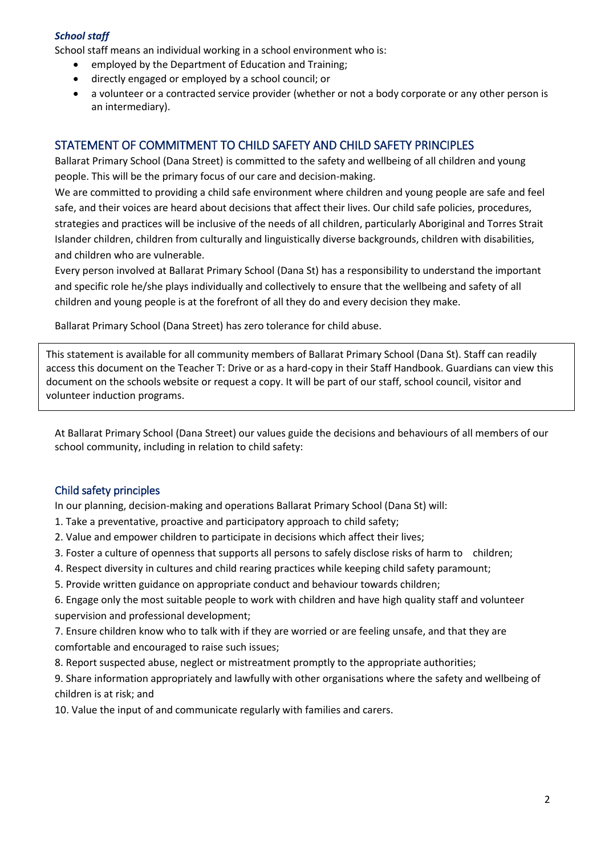## *School staff*

School staff means an individual working in a school environment who is:

- employed by the Department of Education and Training;
- directly engaged or employed by a school council; or
- a volunteer or a contracted service provider (whether or not a body corporate or any other person is an intermediary).

## STATEMENT OF COMMITMENT TO CHILD SAFETY AND CHILD SAFETY PRINCIPLES

Ballarat Primary School (Dana Street) is committed to the safety and wellbeing of all children and young people. This will be the primary focus of our care and decision-making.

We are committed to providing a child safe environment where children and young people are safe and feel safe, and their voices are heard about decisions that affect their lives. Our child safe policies, procedures, strategies and practices will be inclusive of the needs of all children, particularly Aboriginal and Torres Strait Islander children, children from culturally and linguistically diverse backgrounds, children with disabilities, and children who are vulnerable.

Every person involved at Ballarat Primary School (Dana St) has a responsibility to understand the important and specific role he/she plays individually and collectively to ensure that the wellbeing and safety of all children and young people is at the forefront of all they do and every decision they make.

Ballarat Primary School (Dana Street) has zero tolerance for child abuse.

This statement is available for all community members of Ballarat Primary School (Dana St). Staff can readily access this document on the Teacher T: Drive or as a hard-copy in their Staff Handbook. Guardians can view this document on the schools website or request a copy. It will be part of our staff, school council, visitor and volunteer induction programs.

At Ballarat Primary School (Dana Street) our values guide the decisions and behaviours of all members of our school community, including in relation to child safety:

## Child safety principles

In our planning, decision-making and operations Ballarat Primary School (Dana St) will:

- 1. Take a preventative, proactive and participatory approach to child safety;
- 2. Value and empower children to participate in decisions which affect their lives;
- 3. Foster a culture of openness that supports all persons to safely disclose risks of harm to children;
- 4. Respect diversity in cultures and child rearing practices while keeping child safety paramount;
- 5. Provide written guidance on appropriate conduct and behaviour towards children;

6. Engage only the most suitable people to work with children and have high quality staff and volunteer supervision and professional development;

7. Ensure children know who to talk with if they are worried or are feeling unsafe, and that they are comfortable and encouraged to raise such issues;

8. Report suspected abuse, neglect or mistreatment promptly to the appropriate authorities;

9. Share information appropriately and lawfully with other organisations where the safety and wellbeing of children is at risk; and

10. Value the input of and communicate regularly with families and carers.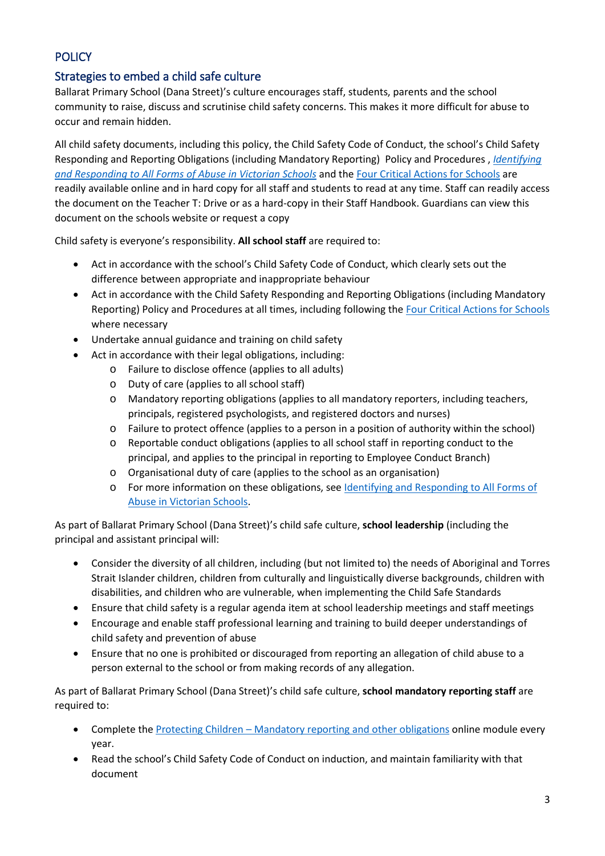# **POLICY**

# Strategies to embed a child safe culture

Ballarat Primary School (Dana Street)'s culture encourages staff, students, parents and the school community to raise, discuss and scrutinise child safety concerns. This makes it more difficult for abuse to occur and remain hidden.

All child safety documents, including this policy, the Child Safety Code of Conduct, the school's Child Safety Responding and Reporting Obligations (including Mandatory Reporting) Policy and Procedures , *[Identifying](https://www.education.vic.gov.au/Documents/about/programs/health/protect/ChildSafeStandard5_SchoolsGuide.pdf)  [and Responding to All Forms of Abuse in Victorian Schools](https://www.education.vic.gov.au/Documents/about/programs/health/protect/ChildSafeStandard5_SchoolsGuide.pdf)* and th[e Four Critical Actions for Schools](https://www.education.vic.gov.au/Documents/about/programs/health/protect/FourCriticalActions_ChildAbuse.pdf) are readily available online and in hard copy for all staff and students to read at any time. Staff can readily access the document on the Teacher T: Drive or as a hard-copy in their Staff Handbook. Guardians can view this document on the schools website or request a copy

Child safety is everyone's responsibility. **All school staff** are required to:

- Act in accordance with the school's Child Safety Code of Conduct, which clearly sets out the difference between appropriate and inappropriate behaviour
- Act in accordance with the Child Safety Responding and Reporting Obligations (including Mandatory Reporting) Policy and Procedures at all times, including following th[e Four Critical Actions for Schools](https://www.education.vic.gov.au/Documents/about/programs/health/protect/FourCriticalActions_ChildAbuse.pdf) where necessary
- Undertake annual guidance and training on child safety
- Act in accordance with their legal obligations, including:
	- o Failure to disclose offence (applies to all adults)
	- o Duty of care (applies to all school staff)
	- o Mandatory reporting obligations (applies to all mandatory reporters, including teachers, principals, registered psychologists, and registered doctors and nurses)
	- o Failure to protect offence (applies to a person in a position of authority within the school)
	- o Reportable conduct obligations (applies to all school staff in reporting conduct to the principal, and applies to the principal in reporting to Employee Conduct Branch)
	- o Organisational duty of care (applies to the school as an organisation)
	- o For more information on these obligations, see [Identifying and Responding to All Forms of](https://www.education.vic.gov.au/Documents/about/programs/health/protect/ChildSafeStandard5_SchoolsGuide.pdf)  [Abuse in Victorian Schools.](https://www.education.vic.gov.au/Documents/about/programs/health/protect/ChildSafeStandard5_SchoolsGuide.pdf)

As part of Ballarat Primary School (Dana Street)'s child safe culture, **school leadership** (including the principal and assistant principal will:

- Consider the diversity of all children, including (but not limited to) the needs of Aboriginal and Torres Strait Islander children, children from culturally and linguistically diverse backgrounds, children with disabilities, and children who are vulnerable, when implementing the Child Safe Standards
- Ensure that child safety is a regular agenda item at school leadership meetings and staff meetings
- Encourage and enable staff professional learning and training to build deeper understandings of child safety and prevention of abuse
- Ensure that no one is prohibited or discouraged from reporting an allegation of child abuse to a person external to the school or from making records of any allegation.

As part of Ballarat Primary School (Dana Street)'s child safe culture, **school mandatory reporting staff** are required to:

- Complete the Protecting Children [Mandatory reporting and other obligations](http://elearn.com.au/det/protectingchildren/) online module every year.
- Read the school's Child Safety Code of Conduct on induction, and maintain familiarity with that document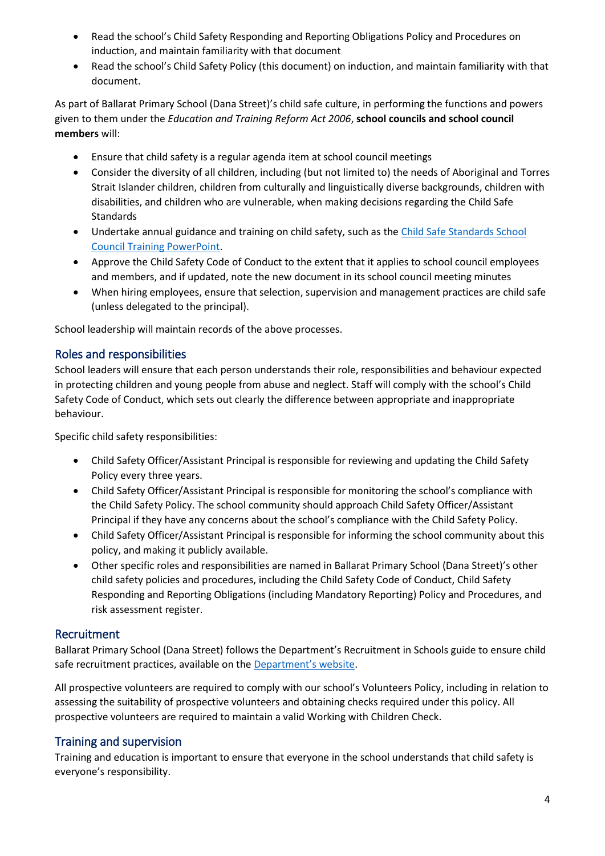- Read the school's Child Safety Responding and Reporting Obligations Policy and Procedures on induction, and maintain familiarity with that document
- Read the school's Child Safety Policy (this document) on induction, and maintain familiarity with that document.

As part of Ballarat Primary School (Dana Street)'s child safe culture, in performing the functions and powers given to them under the *Education and Training Reform Act 2006*, **school councils and school council members** will:

- Ensure that child safety is a regular agenda item at school council meetings
- Consider the diversity of all children, including (but not limited to) the needs of Aboriginal and Torres Strait Islander children, children from culturally and linguistically diverse backgrounds, children with disabilities, and children who are vulnerable, when making decisions regarding the Child Safe Standards
- Undertake annual guidance and training on child safety, such as the Child Safe Standards School [Council Training](https://www.education.vic.gov.au/Documents/about/programs/health/protect/school-council-training.pptx) PowerPoint.
- Approve the Child Safety Code of Conduct to the extent that it applies to school council employees and members, and if updated, note the new document in its school council meeting minutes
- When hiring employees, ensure that selection, supervision and management practices are child safe (unless delegated to the principal).

School leadership will maintain records of the above processes.

## Roles and responsibilities

School leaders will ensure that each person understands their role, responsibilities and behaviour expected in protecting children and young people from abuse and neglect. Staff will comply with the school's Child Safety Code of Conduct, which sets out clearly the difference between appropriate and inappropriate behaviour.

Specific child safety responsibilities:

- Child Safety Officer/Assistant Principal is responsible for reviewing and updating the Child Safety Policy every three years.
- Child Safety Officer/Assistant Principal is responsible for monitoring the school's compliance with the Child Safety Policy. The school community should approach Child Safety Officer/Assistant Principal if they have any concerns about the school's compliance with the Child Safety Policy.
- Child Safety Officer/Assistant Principal is responsible for informing the school community about this policy, and making it publicly available.
- Other specific roles and responsibilities are named in Ballarat Primary School (Dana Street)'s other child safety policies and procedures, including the Child Safety Code of Conduct, Child Safety Responding and Reporting Obligations (including Mandatory Reporting) Policy and Procedures, and risk assessment register.

## Recruitment

Ballarat Primary School (Dana Street) follows the Department's Recruitment in Schools guide to ensure child safe recruitment practices, available on the [Department'](https://www.education.vic.gov.au/hrweb/careers/Pages/recruitinsch.aspx)s website.

All prospective volunteers are required to comply with our school's Volunteers Policy, including in relation to assessing the suitability of prospective volunteers and obtaining checks required under this policy. All prospective volunteers are required to maintain a valid Working with Children Check.

# Training and supervision

Training and education is important to ensure that everyone in the school understands that child safety is everyone's responsibility.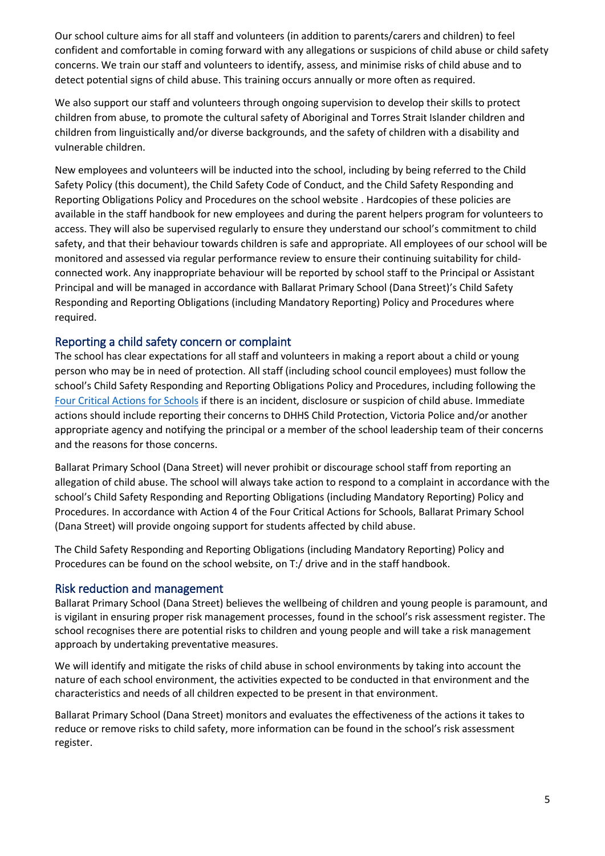Our school culture aims for all staff and volunteers (in addition to parents/carers and children) to feel confident and comfortable in coming forward with any allegations or suspicions of child abuse or child safety concerns. We train our staff and volunteers to identify, assess, and minimise risks of child abuse and to detect potential signs of child abuse. This training occurs annually or more often as required.

We also support our staff and volunteers through ongoing supervision to develop their skills to protect children from abuse, to promote the cultural safety of Aboriginal and Torres Strait Islander children and children from linguistically and/or diverse backgrounds, and the safety of children with a disability and vulnerable children.

New employees and volunteers will be inducted into the school, including by being referred to the Child Safety Policy (this document), the Child Safety Code of Conduct, and the Child Safety Responding and Reporting Obligations Policy and Procedures on the school website . Hardcopies of these policies are available in the staff handbook for new employees and during the parent helpers program for volunteers to access. They will also be supervised regularly to ensure they understand our school's commitment to child safety, and that their behaviour towards children is safe and appropriate. All employees of our school will be monitored and assessed via regular performance review to ensure their continuing suitability for childconnected work. Any inappropriate behaviour will be reported by school staff to the Principal or Assistant Principal and will be managed in accordance with Ballarat Primary School (Dana Street)'s Child Safety Responding and Reporting Obligations (including Mandatory Reporting) Policy and Procedures where required.

#### Reporting a child safety concern or complaint

The school has clear expectations for all staff and volunteers in making a report about a child or young person who may be in need of protection. All staff (including school council employees) must follow the school's Child Safety Responding and Reporting Obligations Policy and Procedures, including following the [Four Critical Actions for Schools](https://www.education.vic.gov.au/Documents/about/programs/health/protect/FourCriticalActions_ChildAbuse.pdf) if there is an incident, disclosure or suspicion of child abuse. Immediate actions should include reporting their concerns to DHHS Child Protection, Victoria Police and/or another appropriate agency and notifying the principal or a member of the school leadership team of their concerns and the reasons for those concerns.

Ballarat Primary School (Dana Street) will never prohibit or discourage school staff from reporting an allegation of child abuse. The school will always take action to respond to a complaint in accordance with the school's Child Safety Responding and Reporting Obligations (including Mandatory Reporting) Policy and Procedures. In accordance with Action 4 of the Four Critical Actions for Schools, Ballarat Primary School (Dana Street) will provide ongoing support for students affected by child abuse.

The Child Safety Responding and Reporting Obligations (including Mandatory Reporting) Policy and Procedures can be found on the school website, on T:/ drive and in the staff handbook.

#### Risk reduction and management

Ballarat Primary School (Dana Street) believes the wellbeing of children and young people is paramount, and is vigilant in ensuring proper risk management processes, found in the school's risk assessment register. The school recognises there are potential risks to children and young people and will take a risk management approach by undertaking preventative measures.

We will identify and mitigate the risks of child abuse in school environments by taking into account the nature of each school environment, the activities expected to be conducted in that environment and the characteristics and needs of all children expected to be present in that environment.

Ballarat Primary School (Dana Street) monitors and evaluates the effectiveness of the actions it takes to reduce or remove risks to child safety, more information can be found in the school's risk assessment register.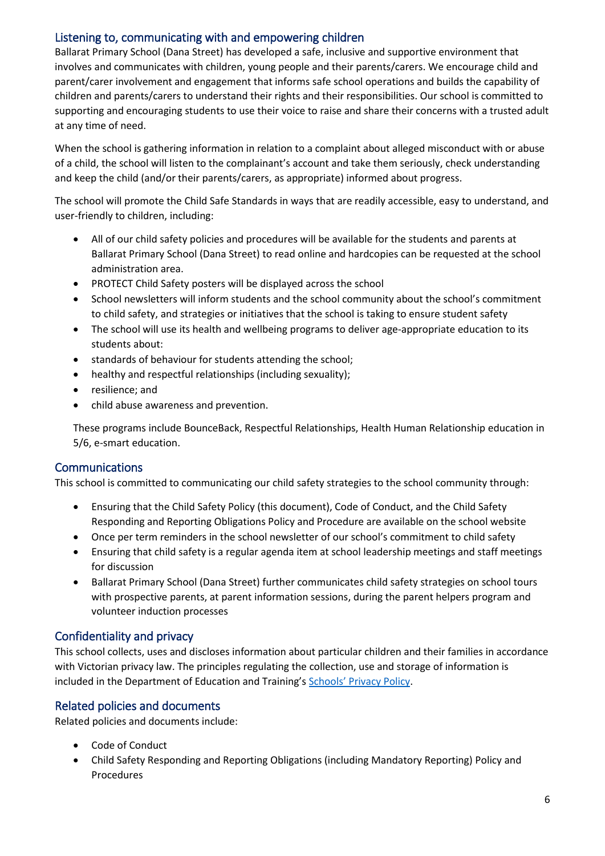## Listening to, communicating with and empowering children

Ballarat Primary School (Dana Street) has developed a safe, inclusive and supportive environment that involves and communicates with children, young people and their parents/carers. We encourage child and parent/carer involvement and engagement that informs safe school operations and builds the capability of children and parents/carers to understand their rights and their responsibilities. Our school is committed to supporting and encouraging students to use their voice to raise and share their concerns with a trusted adult at any time of need.

When the school is gathering information in relation to a complaint about alleged misconduct with or abuse of a child, the school will listen to the complainant's account and take them seriously, check understanding and keep the child (and/or their parents/carers, as appropriate) informed about progress.

The school will promote the Child Safe Standards in ways that are readily accessible, easy to understand, and user-friendly to children, including:

- All of our child safety policies and procedures will be available for the students and parents at Ballarat Primary School (Dana Street) to read online and hardcopies can be requested at the school administration area.
- PROTECT Child Safety posters will be displayed across the school
- School newsletters will inform students and the school community about the school's commitment to child safety, and strategies or initiatives that the school is taking to ensure student safety
- The school will use its health and wellbeing programs to deliver age-appropriate education to its students about:
- standards of behaviour for students attending the school;
- healthy and respectful relationships (including sexuality);
- resilience; and
- child abuse awareness and prevention.

These programs include BounceBack, Respectful Relationships, Health Human Relationship education in 5/6, e-smart education.

## **Communications**

This school is committed to communicating our child safety strategies to the school community through:

- Ensuring that the Child Safety Policy (this document), Code of Conduct, and the Child Safety Responding and Reporting Obligations Policy and Procedure are available on the school website
- Once per term reminders in the school newsletter of our school's commitment to child safety
- Ensuring that child safety is a regular agenda item at school leadership meetings and staff meetings for discussion
- Ballarat Primary School (Dana Street) further communicates child safety strategies on school tours with prospective parents, at parent information sessions, during the parent helpers program and volunteer induction processes

## Confidentiality and privacy

This school collects, uses and discloses information about particular children and their families in accordance with Victorian privacy law. The principles regulating the collection, use and storage of information is included in the Department of Education and Training's Schools' [Privacy Policy.](https://www.education.vic.gov.au/Pages/schoolsprivacypolicy.aspx)

# Related policies and documents

Related policies and documents include:

- Code of Conduct
- Child Safety Responding and Reporting Obligations (including Mandatory Reporting) Policy and Procedures